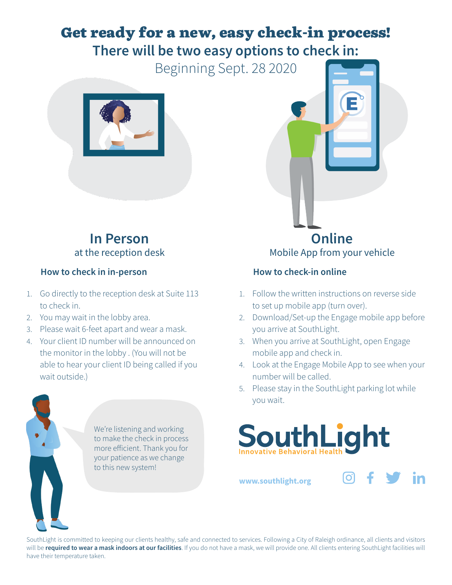## Get ready for a new, easy check-in process! **There will be two easy options to check in:**

Beginning Sept. 28 2020



### **In Person** at the reception desk

#### **How to check in in-person**

- 1. Go directly to the reception desk at Suite 113 to check in.
- 2. You may wait in the lobby area.
- 3. Please wait 6-feet apart and wear a mask.
- 4. Your client ID number will be announced on the monitor in the lobby . (You will not be able to hear your client ID being called if you wait outside.)

We're listening and working to make the check in process more efficient. Thank you for your patience as we change to this new system!

**Online** Mobile App from your vehicle

### **How to check-in online**

- 1. Follow the written instructions on reverse side to set up mobile app (turn over).
- 2. Download/Set-up the Engage mobile app before you arrive at SouthLight.
- 3. When you arrive at SouthLight, open Engage mobile app and check in.
- 4. Look at the Engage Mobile App to see when your number will be called.
- 5. Please stay in the SouthLight parking lot while you wait.



**www.southlight.org**

[O]

SouthLight is committed to keeping our clients healthy, safe and connected to services. Following a City of Raleigh ordinance, all clients and visitors will be **required to wear a mask indoors at our facilities**. If you do not have a mask, we will provide one. All clients entering SouthLight facilities will have their temperature taken.